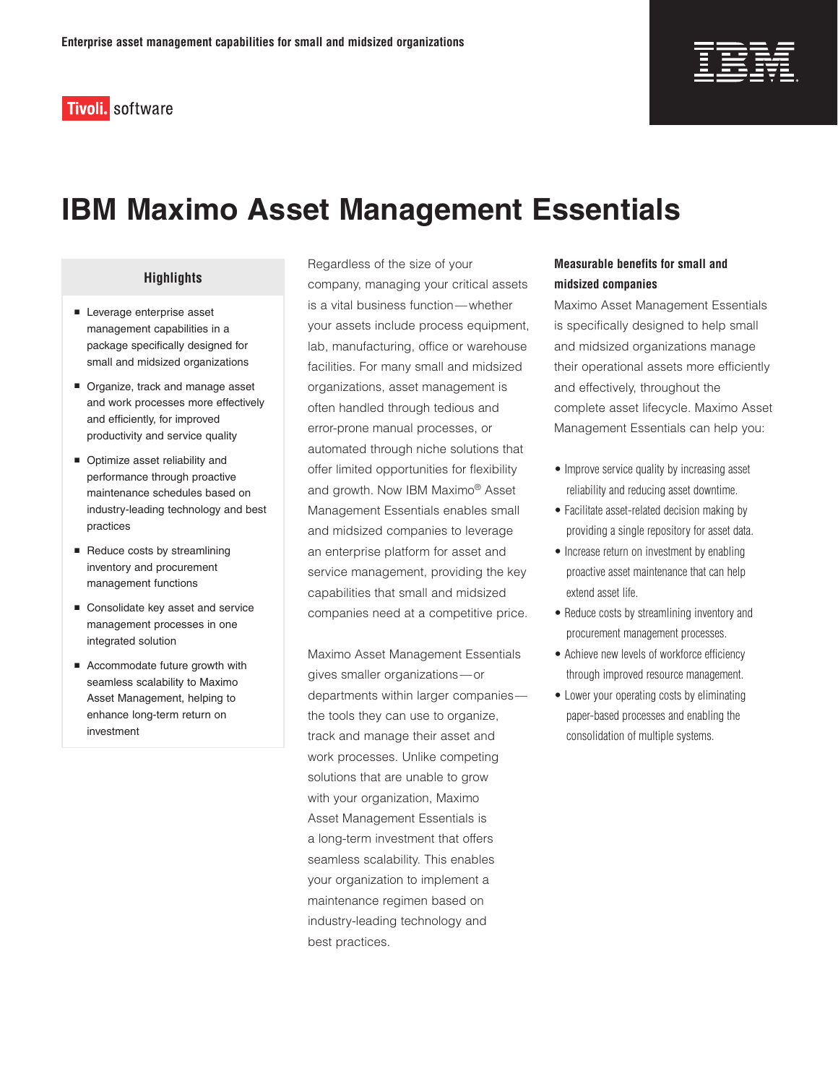**Tivoli**. software



# **IBM Maximo Asset Management Essentials**

# **Highlights**

- Leverage enterprise asset management capabilities in a package specifically designed for small and midsized organizations
- Organize, track and manage asset and work processes more effectively and efficiently, for improved productivity and service quality
- Optimize asset reliability and performance through proactive maintenance schedules based on industry-leading technology and best practices
- $\blacksquare$  Reduce costs by streamlining inventory and procurement management functions
- Consolidate key asset and service management processes in one integrated solution
- Accommodate future growth with seamless scalability to Maximo Asset Management, helping to enhance long-term return on investment

Regardless of the size of your company, managing your critical assets is a vital business function—whether your assets include process equipment, lab, manufacturing, office or warehouse facilities. For many small and midsized organizations, asset management is often handled through tedious and error-prone manual processes, or automated through niche solutions that offer limited opportunities for flexibility and growth. Now IBM Maximo® Asset Management Essentials enables small and midsized companies to leverage an enterprise platform for asset and service management, providing the key capabilities that small and midsized companies need at a competitive price.

Maximo Asset Management Essentials gives smaller organizations—or departments within larger companies the tools they can use to organize, track and manage their asset and work processes. Unlike competing solutions that are unable to grow with your organization, Maximo Asset Management Essentials is a long-term investment that offers seamless scalability. This enables your organization to implement a maintenance regimen based on industry-leading technology and best practices.

# **Measurable benefits for small and midsized companies**

Maximo Asset Management Essentials is specifically designed to help small and midsized organizations manage their operational assets more efficiently and effectively, throughout the complete asset lifecycle. Maximo Asset Management Essentials can help you:

- Improve service quality by increasing asset reliability and reducing asset downtime.
- Facilitate asset-related decision making by providing a single repository for asset data.
- Increase return on investment by enabling proactive asset maintenance that can help extend asset life.
- Reduce costs by streamlining inventory and procurement management processes.
- Achieve new levels of workforce efficiency through improved resource management.
- Lower your operating costs by eliminating paper-based processes and enabling the consolidation of multiple systems.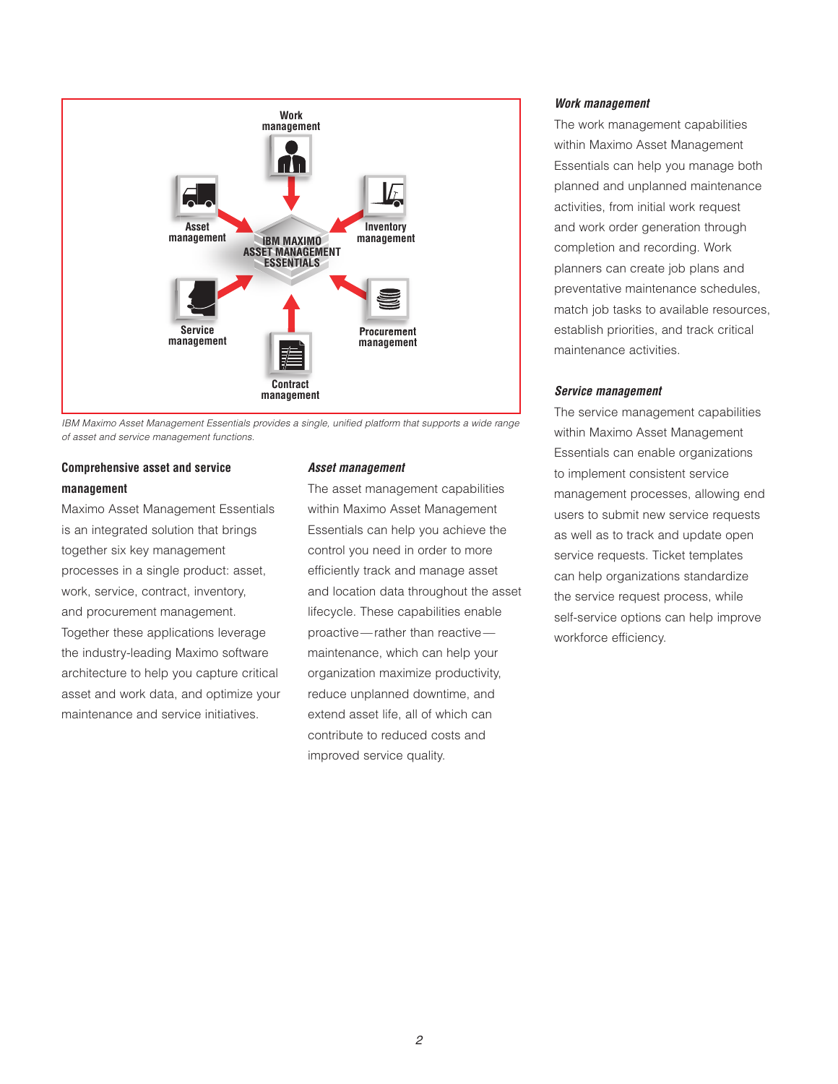

*IBM Maximo Asset Management Essentials provides a single, unified platform that supports a wide range of asset and service management functions.* 

# **Comprehensive asset and service management**

Maximo Asset Management Essentials is an integrated solution that brings together six key management processes in a single product: asset, work, service, contract, inventory, and procurement management. Together these applications leverage the industry-leading Maximo software architecture to help you capture critical asset and work data, and optimize your maintenance and service initiatives.

## *Asset management*

The asset management capabilities within Maximo Asset Management Essentials can help you achieve the control you need in order to more efficiently track and manage asset and location data throughout the asset lifecycle. These capabilities enable proactive—rather than reactive maintenance, which can help your organization maximize productivity, reduce unplanned downtime, and extend asset life, all of which can contribute to reduced costs and improved service quality.

## *Work management*

The work management capabilities within Maximo Asset Management Essentials can help you manage both planned and unplanned maintenance activities, from initial work request and work order generation through completion and recording. Work planners can create job plans and preventative maintenance schedules, match job tasks to available resources, establish priorities, and track critical maintenance activities.

# *Service management*

The service management capabilities within Maximo Asset Management Essentials can enable organizations to implement consistent service management processes, allowing end users to submit new service requests as well as to track and update open service requests. Ticket templates can help organizations standardize the service request process, while self-service options can help improve workforce efficiency.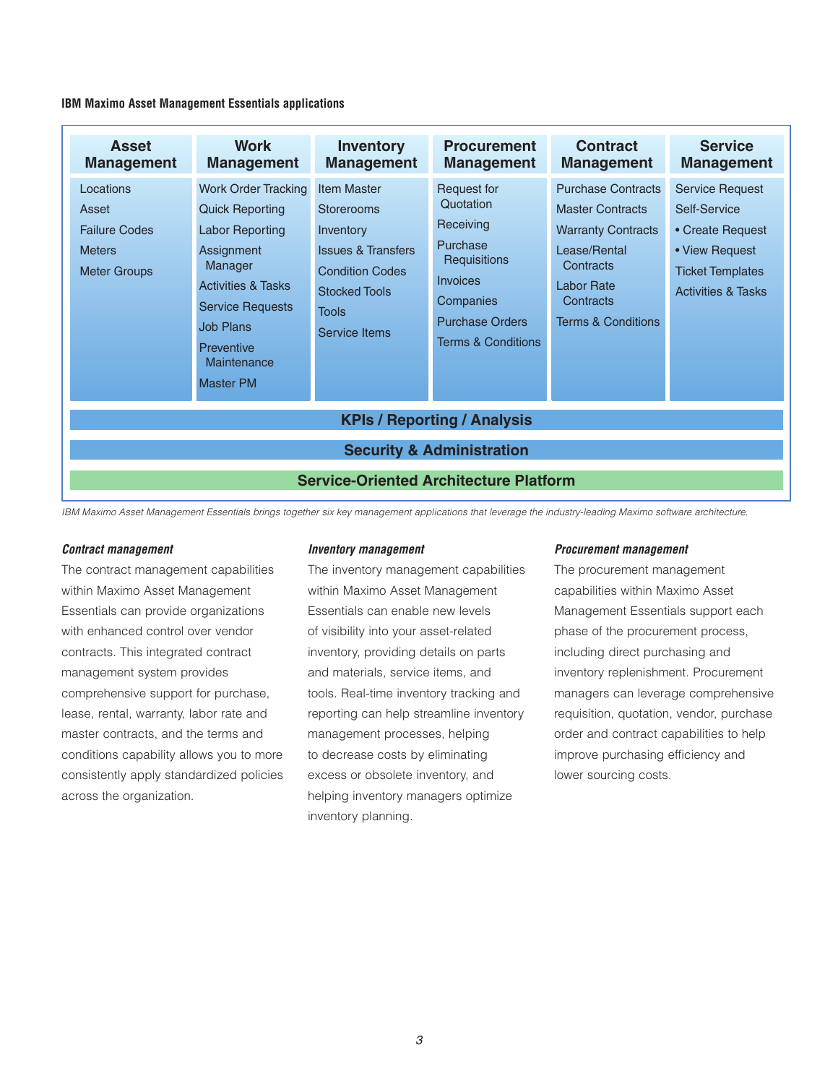**IBM Maximo Asset Management Essentials applications**

| <b>Asset</b><br><b>Management</b>                                                                                           | <b>Work</b><br><b>Management</b>                                                                                                                                                                                                         | <b>Inventory</b><br><b>Management</b>                                                                                                                             | <b>Procurement</b><br><b>Management</b>                                                                                                                      | <b>Contract</b><br><b>Management</b>                                                                                                                                              | <b>Service</b><br><b>Management</b>                                                                                                      |
|-----------------------------------------------------------------------------------------------------------------------------|------------------------------------------------------------------------------------------------------------------------------------------------------------------------------------------------------------------------------------------|-------------------------------------------------------------------------------------------------------------------------------------------------------------------|--------------------------------------------------------------------------------------------------------------------------------------------------------------|-----------------------------------------------------------------------------------------------------------------------------------------------------------------------------------|------------------------------------------------------------------------------------------------------------------------------------------|
| Locations<br>Asset<br><b>Failure Codes</b><br><b>Meters</b><br><b>Meter Groups</b>                                          | <b>Work Order Tracking</b><br><b>Quick Reporting</b><br><b>Labor Reporting</b><br>Assignment<br>Manager<br><b>Activities &amp; Tasks</b><br><b>Service Requests</b><br><b>Job Plans</b><br>Preventive<br>Maintenance<br><b>Master PM</b> | <b>Item Master</b><br>Storerooms<br>Inventory<br><b>Issues &amp; Transfers</b><br><b>Condition Codes</b><br><b>Stocked Tools</b><br><b>Tools</b><br>Service Items | Request for<br>Quotation<br>Receiving<br>Purchase<br>Requisitions<br><b>Invoices</b><br>Companies<br><b>Purchase Orders</b><br><b>Terms &amp; Conditions</b> | <b>Purchase Contracts</b><br><b>Master Contracts</b><br><b>Warranty Contracts</b><br>Lease/Rental<br>Contracts<br><b>Labor Rate</b><br>Contracts<br><b>Terms &amp; Conditions</b> | <b>Service Request</b><br>Self-Service<br>• Create Request<br>• View Request<br><b>Ticket Templates</b><br><b>Activities &amp; Tasks</b> |
| <b>KPIs / Reporting / Analysis</b><br><b>Security &amp; Administration</b><br><b>Service-Oriented Architecture Platform</b> |                                                                                                                                                                                                                                          |                                                                                                                                                                   |                                                                                                                                                              |                                                                                                                                                                                   |                                                                                                                                          |

*IBM Maximo Asset Management Essentials brings together six key management applications that leverage the industry-leading Maximo software architecture.* 

#### *Contract management*

The contract management capabilities within Maximo Asset Management Essentials can provide organizations with enhanced control over vendor contracts. This integrated contract management system provides comprehensive support for purchase, lease, rental, warranty, labor rate and master contracts, and the terms and conditions capability allows you to more consistently apply standardized policies across the organization.

#### *Inventory management*

The inventory management capabilities within Maximo Asset Management Essentials can enable new levels of visibility into your asset-related inventory, providing details on parts and materials, service items, and tools. Real-time inventory tracking and reporting can help streamline inventory management processes, helping to decrease costs by eliminating excess or obsolete inventory, and helping inventory managers optimize inventory planning.

#### *Procurement management*

The procurement management capabilities within Maximo Asset Management Essentials support each phase of the procurement process, including direct purchasing and inventory replenishment. Procurement managers can leverage comprehensive requisition, quotation, vendor, purchase order and contract capabilities to help improve purchasing efficiency and lower sourcing costs.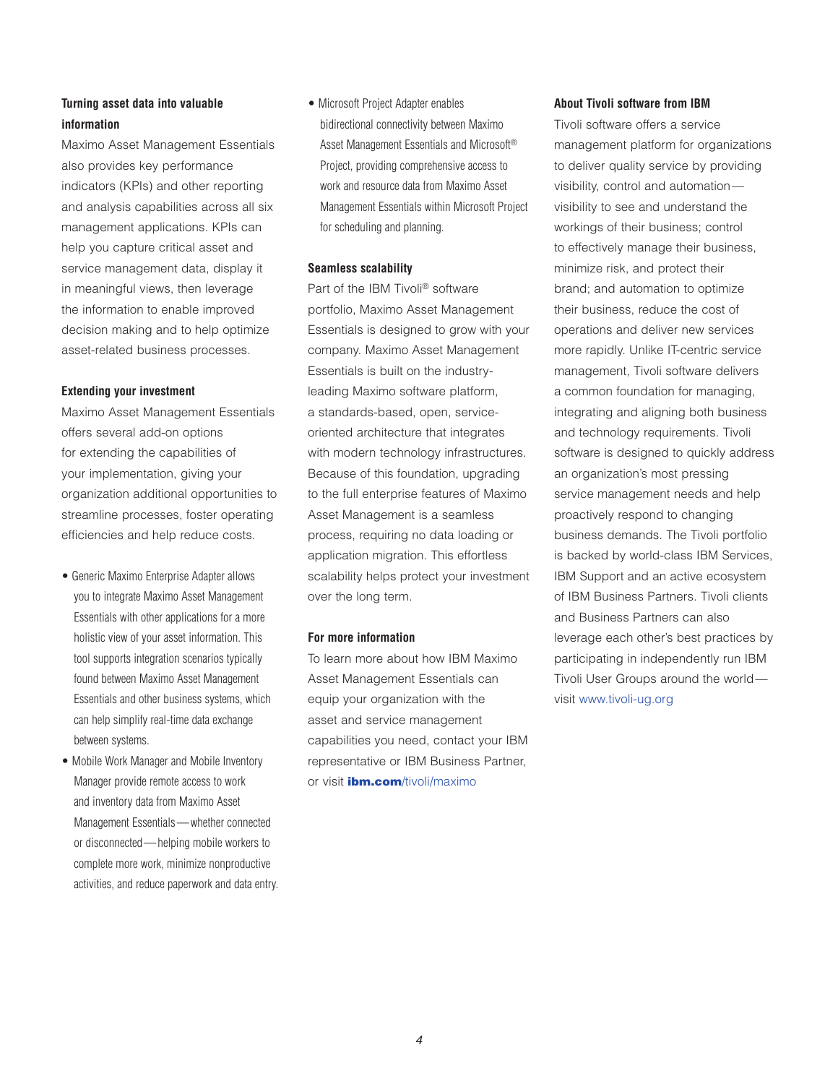# **Turning asset data into valuable information**

Maximo Asset Management Essentials also provides key performance indicators (KPIs) and other reporting and analysis capabilities across all six management applications. KPIs can help you capture critical asset and service management data, display it in meaningful views, then leverage the information to enable improved decision making and to help optimize asset-related business processes.

# **Extending your investment**

Maximo Asset Management Essentials offers several add-on options for extending the capabilities of your implementation, giving your organization additional opportunities to streamline processes, foster operating efficiencies and help reduce costs.

- Generic Maximo Enterprise Adapter allows you to integrate Maximo Asset Management Essentials with other applications for a more holistic view of your asset information. This tool supports integration scenarios typically found between Maximo Asset Management Essentials and other business systems, which can help simplify real-time data exchange between systems.
- Mobile Work Manager and Mobile Inventory Manager provide remote access to work and inventory data from Maximo Asset Management Essentials — whether connected or disconnected — helping mobile workers to complete more work, minimize nonproductive activities, and reduce paperwork and data entry.

• Microsoft Project Adapter enables bidirectional connectivity between Maximo Asset Management Essentials and Microsoft® Project, providing comprehensive access to work and resource data from Maximo Asset Management Essentials within Microsoft Project for scheduling and planning.

# **Seamless scalability**

Part of the IBM Tivoli® software portfolio, Maximo Asset Management Essentials is designed to grow with your company. Maximo Asset Management Essentials is built on the industryleading Maximo software platform, a standards-based, open, serviceoriented architecture that integrates with modern technology infrastructures. Because of this foundation, upgrading to the full enterprise features of Maximo Asset Management is a seamless process, requiring no data loading or application migration. This effortless scalability helps protect your investment over the long term.

# **For more information**

To learn more about how IBM Maximo Asset Management Essentials can equip your organization with the asset and service management capabilities you need, contact your IBM representative or IBM Business Partner, or visit *ibm.com[/tivoli/maximo](http://www.ibm.com/tivoli/maximo)* 

# **About Tivoli software from IBM**

Tivoli software offers a service management platform for organizations to deliver quality service by providing visibility, control and automation visibility to see and understand the workings of their business; control to effectively manage their business, minimize risk, and protect their brand; and automation to optimize their business, reduce the cost of operations and deliver new services more rapidly. Unlike IT-centric service management, Tivoli software delivers a common foundation for managing, integrating and aligning both business and technology requirements. Tivoli software is designed to quickly address an organization's most pressing service management needs and help proactively respond to changing business demands. The Tivoli portfolio is backed by world-class IBM Services, IBM Support and an active ecosystem of IBM Business Partners. Tivoli clients and Business Partners can also leverage each other's best practices by participating in independently run IBM Tivoli User Groups around the world visit [www.tivoli-ug.org](http://www.tivoli-ug.org)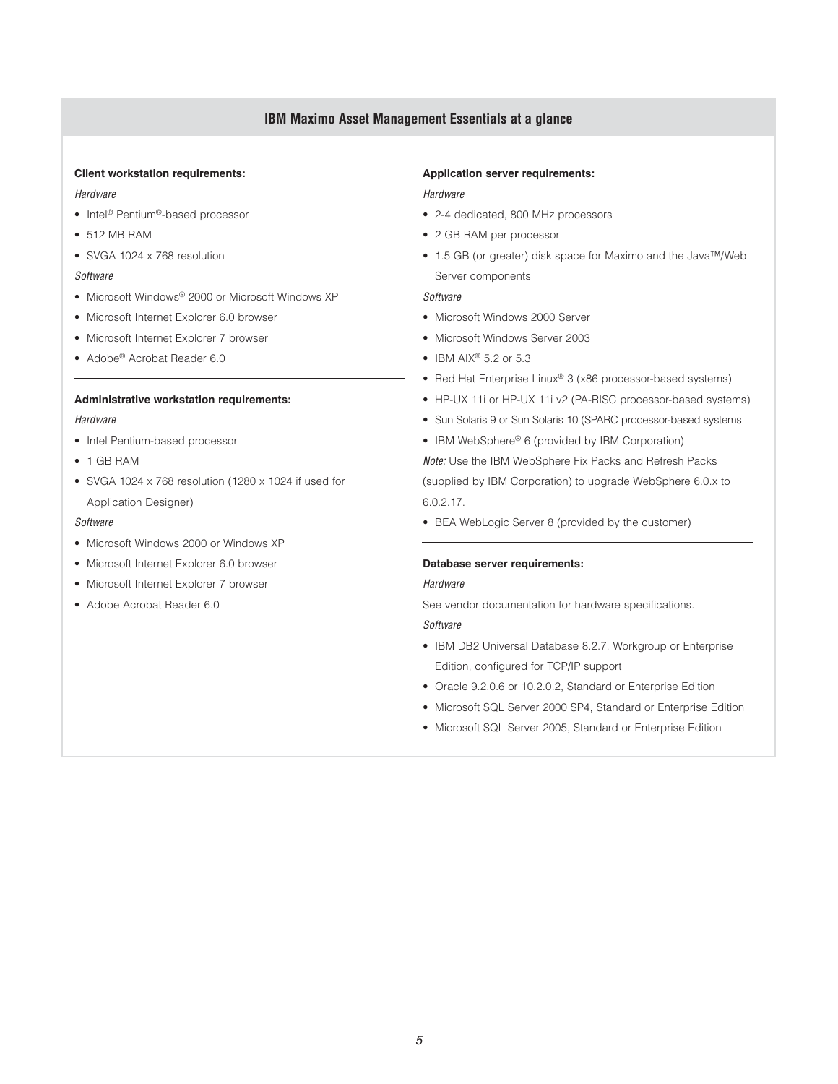# **IBM Maximo Asset Management Essentials at a glance**

# **Client workstation requirements:**

## *Hardware*

- Intel<sup>®</sup> Pentium<sup>®</sup>-based processor
- 512 MB RAM
- SVGA 1024 x 768 resolution

## *Software*

- Microsoft Windows<sup>®</sup> 2000 or Microsoft Windows XP
- Microsoft Internet Explorer 6.0 browser
- Microsoft Internet Explorer 7 browser
- Adobe® Acrobat Reader 6.0

## **Administrative workstation requirements:**

## *Hardware*

- Intel Pentium-based processor
- 1 GB RAM
- SVGA 1024 x 768 resolution (1280 x 1024 if used for Application Designer)

#### *Software*

- Microsoft Windows 2000 or Windows XP
- Microsoft Internet Explorer 6.0 browser
- Microsoft Internet Explorer 7 browser
- Adobe Acrobat Reader 6.0

#### **Application server requirements:**

## *Hardware*

- 2-4 dedicated, 800 MHz processors
- 2 GB RAM per processor
- 1.5 GB (or greater) disk space for Maximo and the Java™/Web Server components

## *Software*

- Microsoft Windows 2000 Server
- Microsoft Windows Server 2003
- $\bullet$  IBM AIX<sup>®</sup> 5.2 or 5.3
- Red Hat Enterprise Linux<sup>®</sup> 3 (x86 processor-based systems)
- HP-UX 11i or HP-UX 11i v2 (PA-RISC processor-based systems)
- Sun Solaris 9 or Sun Solaris 10 (SPARC processor-based systems
- IBM WebSphere® 6 (provided by IBM Corporation)

*Note:* Use the IBM WebSphere Fix Packs and Refresh Packs (supplied by IBM Corporation) to upgrade WebSphere 6.0.x to 6.0.2.17.

• BEA WebLogic Server 8 (provided by the customer)

## **Database server requirements:**

## *Hardware*

See vendor documentation for hardware specifications.

# *Software*

- IBM DB2 Universal Database 8.2.7, Workgroup or Enterprise Edition, configured for TCP/IP support
- Oracle 9.2.0.6 or 10.2.0.2, Standard or Enterprise Edition
- Microsoft SQL Server 2000 SP4, Standard or Enterprise Edition
- Microsoft SQL Server 2005, Standard or Enterprise Edition